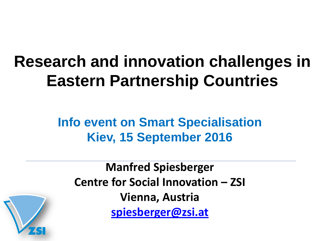# **Research and innovation challenges in Eastern Partnership Countries**

#### **Info event on Smart Specialisation Kiev, 15 September 2016**

**Manfred Spiesberger Centre for Social Innovation – ZSI Vienna, Austria [spiesberger@zsi.at](mailto:spiesberger@zsi.at)**

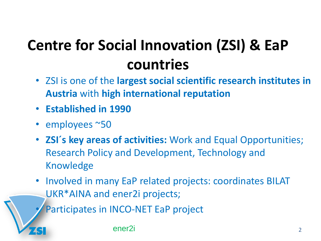# **Centre for Social Innovation (ZSI) & EaP countries**

- ZSI is one of the **largest social scientific research institutes in Austria** with **high international reputation**
- **Established in 1990**
- employees ~50
- **ZSI´s key areas of activities:** Work and Equal Opportunities; Research Policy and Development, Technology and Knowledge
- Involved in many EaP related projects: coordinates BILAT UKR\*AINA and ener2i projects;

Participates in INCO-NET EaP project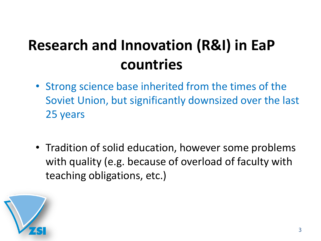## **Research and Innovation (R&I) in EaP countries**

- Strong science base inherited from the times of the Soviet Union, but significantly downsized over the last 25 years
- Tradition of solid education, however some problems with quality (e.g. because of overload of faculty with teaching obligations, etc.)

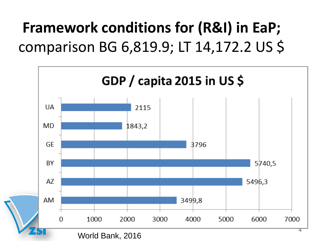## **Framework conditions for (R&I) in EaP;**  comparison BG 6,819.9; LT 14,172.2 US \$

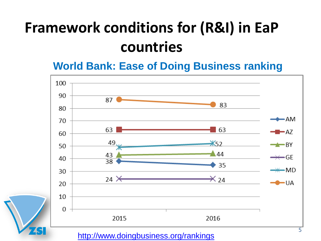**World Bank: Ease of Doing Business ranking**



<http://www.doingbusiness.org/rankings>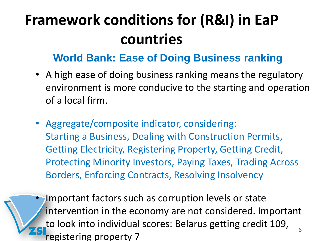#### **World Bank: Ease of Doing Business ranking**

- A high ease of doing business ranking means the regulatory environment is more conducive to the starting and operation of a local firm.
- Aggregate/composite indicator, considering: Starting a Business, Dealing with Construction Permits, Getting Electricity, Registering Property, Getting Credit, Protecting Minority Investors, Paying Taxes, Trading Across Borders, Enforcing Contracts, Resolving Insolvency

6 Important factors such as corruption levels or state intervention in the economy are not considered. Important to look into individual scores: Belarus getting credit 109, registering property 7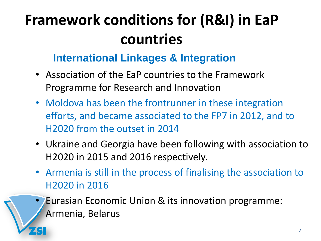#### **International Linkages & Integration**

- Association of the EaP countries to the Framework Programme for Research and Innovation
- Moldova has been the frontrunner in these integration efforts, and became associated to the FP7 in 2012, and to H2020 from the outset in 2014
- Ukraine and Georgia have been following with association to H2020 in 2015 and 2016 respectively.
- Armenia is still in the process of finalising the association to H2020 in 2016
	- Eurasian Economic Union & its innovation programme: Armenia, Belarus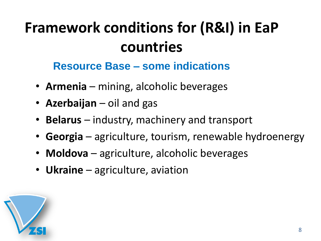#### **Resource Base – some indications**

- **Armenia**  mining, alcoholic beverages
- **Azerbaijan** oil and gas
- **Belarus**  industry, machinery and transport
- **Georgia** agriculture, tourism, renewable hydroenergy
- **Moldova** agriculture, alcoholic beverages
- **Ukraine** agriculture, aviation

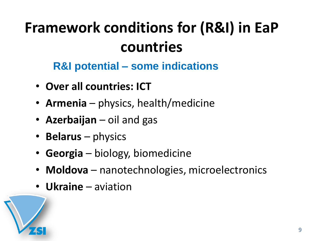**R&I potential – some indications**

- **Over all countries: ICT**
- **Armenia**  physics, health/medicine
- **Azerbaijan** oil and gas
- **Belarus**  physics
- **Georgia** biology, biomedicine
- **Moldova** nanotechnologies, microelectronics
- **Ukraine** aviation

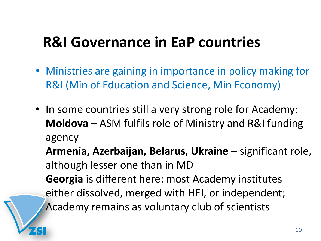### **R&I Governance in EaP countries**

- Ministries are gaining in importance in policy making for R&I (Min of Education and Science, Min Economy)
- In some countries still a very strong role for Academy: **Moldova** – ASM fulfils role of Ministry and R&I funding agency

**Armenia, Azerbaijan, Belarus, Ukraine** – significant role, although lesser one than in MD

**Georgia** is different here: most Academy institutes either dissolved, merged with HEI, or independent; Academy remains as voluntary club of scientists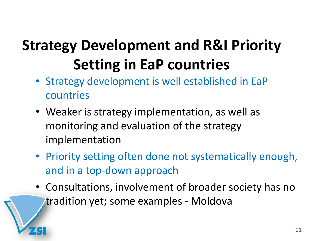- Strategy development is well established in EaP countries
- Weaker is strategy implementation, as well as monitoring and evaluation of the strategy implementation
- Priority setting often done not systematically enough, and in a top-down approach
- Consultations, involvement of broader society has no tradition yet; some examples - Moldova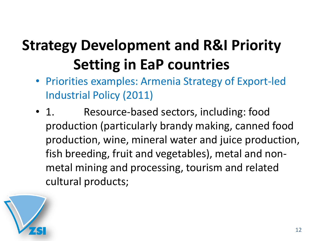- Priorities examples: Armenia Strategy of Export-led Industrial Policy (2011)
- 1. Resource-based sectors, including: food production (particularly brandy making, canned food production, wine, mineral water and juice production, fish breeding, fruit and vegetables), metal and nonmetal mining and processing, tourism and related cultural products;

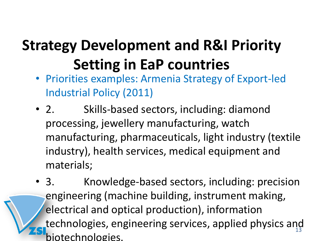- Priorities examples: Armenia Strategy of Export-led Industrial Policy (2011)
- 2. Skills-based sectors, including: diamond processing, jewellery manufacturing, watch manufacturing, pharmaceuticals, light industry (textile industry), health services, medical equipment and materials;
- technologies, engineering services, applied physics and • 3. Knowledge-based sectors, including: precision engineering (machine building, instrument making, electrical and optical production), information biotechnologies.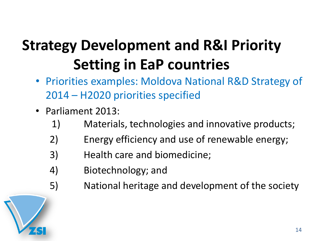- Priorities examples: Moldova National R&D Strategy of 2014 – H2020 priorities specified
- Parliament 2013:
	- 1) Materials, technologies and innovative products;
	- 2) Energy efficiency and use of renewable energy;
	- 3) Health care and biomedicine;
	- 4) Biotechnology; and
	- 5) National heritage and development of the society

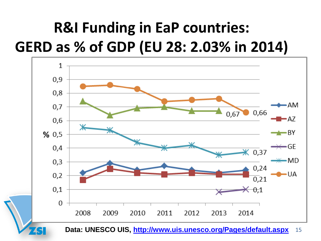## **R&I Funding in EaP countries: GERD as % of GDP (EU 28: 2.03% in 2014)**



15 **Data: UNESCO UIS, <http://www.uis.unesco.org/Pages/default.aspx>**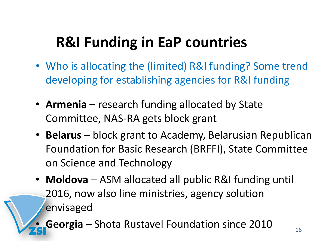## **R&I Funding in EaP countries**

- Who is allocating the (limited) R&I funding? Some trend developing for establishing agencies for R&I funding
- **Armenia** research funding allocated by State Committee, NAS-RA gets block grant
- **Belarus** block grant to Academy, Belarusian Republican Foundation for Basic Research (BRFFI), State Committee on Science and Technology
- **Moldova** ASM allocated all public R&I funding until 2016, now also line ministries, agency solution envisaged
- **Georgia** Shota Rustavel Foundation since 2010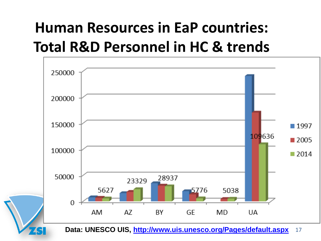## **Human Resources in EaP countries: Total R&D Personnel in HC & trends**



17 **Data: UNESCO UIS, <http://www.uis.unesco.org/Pages/default.aspx>**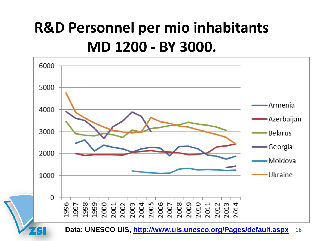## **R&D Personnel per mio inhabitants MD 1200 - BY 3000.**

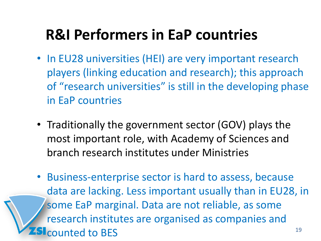### **R&I Performers in EaP countries**

- In EU28 universities (HEI) are very important research players (linking education and research); this approach of "research universities" is still in the developing phase in EaP countries
- Traditionally the government sector (GOV) plays the most important role, with Academy of Sciences and branch research institutes under Ministries
- 19 • Business-enterprise sector is hard to assess, because data are lacking. Less important usually than in EU28, in some EaP marginal. Data are not reliable, as some research institutes are organised as companies and Slcounted to BES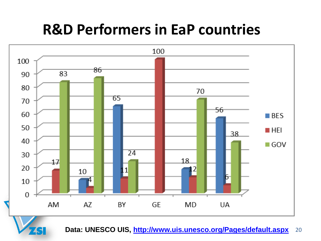### **R&D Performers in EaP countries**



20 **Data: UNESCO UIS, <http://www.uis.unesco.org/Pages/default.aspx>**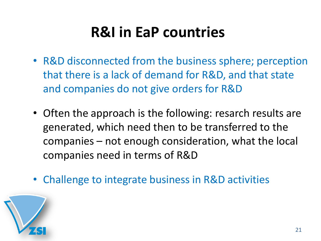## **R&I in EaP countries**

- R&D disconnected from the business sphere; perception that there is a lack of demand for R&D, and that state and companies do not give orders for R&D
- Often the approach is the following: resarch results are generated, which need then to be transferred to the companies – not enough consideration, what the local companies need in terms of R&D
- Challenge to integrate business in R&D activities

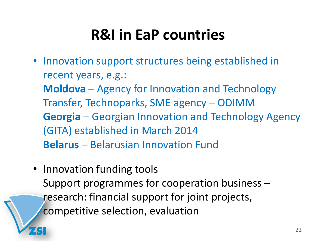### **R&I in EaP countries**

- Innovation support structures being established in recent years, e.g.: **Moldova** – Agency for Innovation and Technology Transfer, Technoparks, SME agency – ODIMM **Georgia** – Georgian Innovation and Technology Agency (GITA) established in March 2014 **Belarus** – Belarusian Innovation Fund
- Innovation funding tools Support programmes for cooperation business – research: financial support for joint projects, competitive selection, evaluation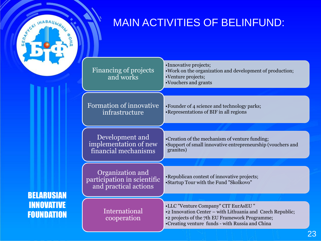

BELARUSIAN

INNOVATIVE

FOUNDATION

#### MAIN ACTIVITIES OF BELINFUND:

| Financing of projects<br>and works                                       | •Innovative projects;<br>. Work on the organization and development of production;<br>•Venture projects;<br>•Vouchers and grants                                                                      |
|--------------------------------------------------------------------------|-------------------------------------------------------------------------------------------------------------------------------------------------------------------------------------------------------|
| Formation of innovative<br>infrastructure                                | •Founder of 4 science and technology parks;<br>• Representations of BIF in all regions                                                                                                                |
| Development and<br>implementation of new<br>financial mechanisms         | •Creation of the mechanism of venture funding;<br>•Support of small innovative entrepreneurship (vouchers and<br>granites)                                                                            |
| Organization and<br>participation in scientific<br>and practical actions | • Republican contest of innovative projects;<br>•Startup Tour with the Fund "Skolkovo"                                                                                                                |
| International<br>cooperation                                             | •LLC "Venture Company" CIT EurAsEU"<br>•2 Innovation Center – with Lithuania and Czech Republic;<br>•2 projects of the 7th EU Framework Programme;<br>•Creating venture funds - with Russia and China |

23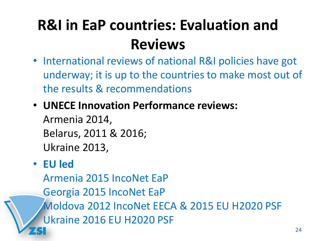## **R&I in EaP countries: Evaluation and Reviews**

- International reviews of national R&I policies have got underway; it is up to the countries to make most out of the results & recommendations
- **UNECE Innovation Performance reviews:**

Armenia 2014, Belarus, 2011 & 2016; Ukraine 2013,

#### • **EU led**

Armenia 2015 IncoNet EaP Georgia 2015 IncoNet EaP Moldova 2012 IncoNet EECA & 2015 EU H2020 PSF Ukraine 2016 EU H2020 PSF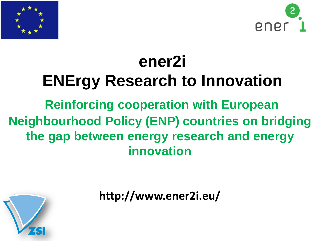



## **ener2i ENErgy Research to Innovation Reinforcing cooperation with European Neighbourhood Policy (ENP) countries on bridging the gap between energy research and energy innovation**



**http://www.ener2i.eu/**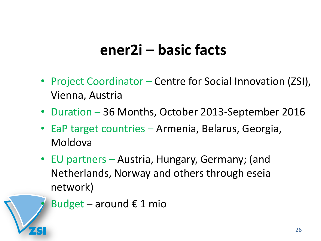#### **ener2i – basic facts**

- Project Coordinator Centre for Social Innovation (ZSI), Vienna, Austria
- Duration 36 Months, October 2013-September 2016
- EaP target countries Armenia, Belarus, Georgia, Moldova
- EU partners Austria, Hungary, Germany; (and Netherlands, Norway and others through eseia network)

Budget – around  $\epsilon$  1 mio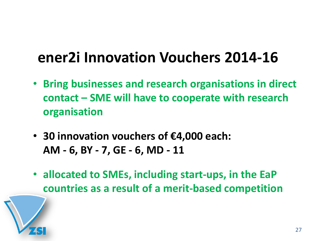### **ener2i Innovation Vouchers 2014-16**

- **Bring businesses and research organisations in direct contact – SME will have to cooperate with research organisation**
- **30 innovation vouchers of €4,000 each: AM - 6, BY - 7, GE - 6, MD - 11**
- **allocated to SMEs, including start-ups, in the EaP countries as a result of a merit-based competition**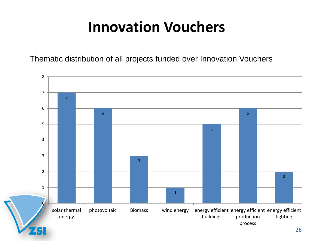### **Innovation Vouchers**

Thematic distribution of all projects funded over Innovation Vouchers

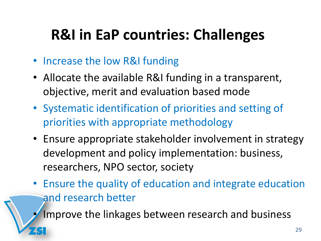## **R&I in EaP countries: Challenges**

- Increase the low R&I funding
- Allocate the available R&I funding in a transparent, objective, merit and evaluation based mode
- Systematic identification of priorities and setting of priorities with appropriate methodology
- Ensure appropriate stakeholder involvement in strategy development and policy implementation: business, researchers, NPO sector, society
- Ensure the quality of education and integrate education and research better

Improve the linkages between research and business